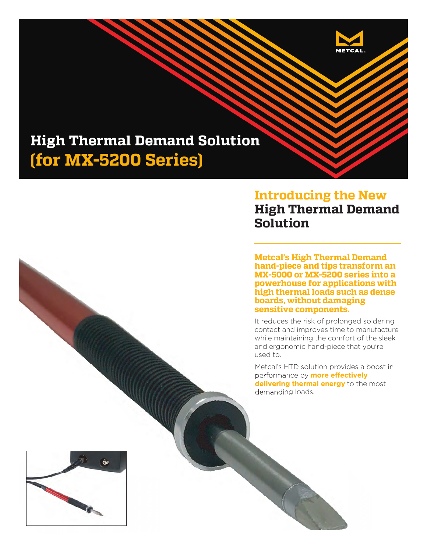

# **High Thermal Demand Solution (for MX-5200 Series)**

### **Introducing the New High Thermal Demand Solution**

**Metcal's High Thermal Demand hand-piece and tips transform an MX-5000 or MX-5200 series into a powerhouse for applications with high thermal loads such as dense boards, without damaging sensitive components.**

It reduces the risk of prolonged soldering contact and improves time to manufacture while maintaining the comfort of the sleek and ergonomic hand-piece that you're used to.

Metcal's HTD solution provides a boost in Me performance by **more effectively**  perfo **delivering thermal energy** to the most **delivering** demanding loads. demanding